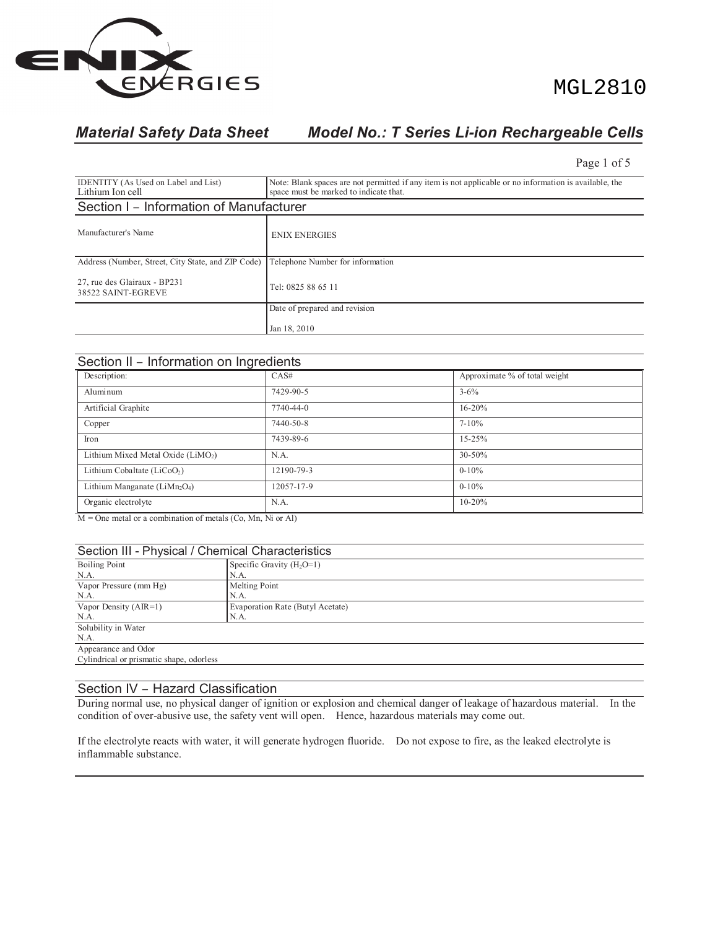

# MGL2810

# *Material Safety Data Sheet Model No.: T Series Li-ion Rechargeable Cells*

Page 1 of 5

| <b>IDENTITY</b> (As Used on Label and List)<br>Lithium Ion cell                       | Note: Blank spaces are not permitted if any item is not applicable or no information is available, the<br>space must be marked to indicate that. |  |  |  |
|---------------------------------------------------------------------------------------|--------------------------------------------------------------------------------------------------------------------------------------------------|--|--|--|
| Section I - Information of Manufacturer                                               |                                                                                                                                                  |  |  |  |
| Manufacturer's Name                                                                   | <b>ENIX ENERGIES</b>                                                                                                                             |  |  |  |
| Address (Number, Street, City State, and ZIP Code)   Telephone Number for information |                                                                                                                                                  |  |  |  |
| 27, rue des Glairaux - BP231<br>38522 SAINT-EGREVE                                    | Tel: 0825 88 65 11                                                                                                                               |  |  |  |
|                                                                                       | Date of prepared and revision                                                                                                                    |  |  |  |
|                                                                                       | Jan 18, 2010                                                                                                                                     |  |  |  |

| Section II - Information on Ingredients        |            |                               |  |  |  |
|------------------------------------------------|------------|-------------------------------|--|--|--|
| Description:                                   | CAS#       | Approximate % of total weight |  |  |  |
| Aluminum                                       | 7429-90-5  | $3 - 6\%$                     |  |  |  |
| Artificial Graphite                            | 7740-44-0  | $16 - 20%$                    |  |  |  |
| Copper                                         | 7440-50-8  | $7 - 10\%$                    |  |  |  |
| Iron                                           | 7439-89-6  | $15 - 25%$                    |  |  |  |
| Lithium Mixed Metal Oxide (LiMO <sub>2</sub> ) | N.A.       | 30-50%                        |  |  |  |
| Lithium Cobaltate (LiCoO <sub>2</sub> )        | 12190-79-3 | $0 - 10\%$                    |  |  |  |
| Lithium Manganate ( $Lim2O4$ )                 | 12057-17-9 | $0 - 10\%$                    |  |  |  |
| Organic electrolyte                            | N.A.       | $10 - 20%$                    |  |  |  |

M = One metal or a combination of metals (Co, Mn, Ni or Al)

| Section III - Physical / Chemical Characteristics           |                             |  |  |  |
|-------------------------------------------------------------|-----------------------------|--|--|--|
| <b>Boiling Point</b>                                        | Specific Gravity $(H_2O=1)$ |  |  |  |
| N.A.                                                        | N.A.                        |  |  |  |
| Melting Point<br>Vapor Pressure (mm Hg)                     |                             |  |  |  |
| N.A.<br>N.A.                                                |                             |  |  |  |
| Vapor Density $(AIR=1)$<br>Evaporation Rate (Butyl Acetate) |                             |  |  |  |
| N.A.                                                        | N.A.                        |  |  |  |
| Solubility in Water                                         |                             |  |  |  |
| N.A.                                                        |                             |  |  |  |
| Appearance and Odor                                         |                             |  |  |  |
| Cylindrical or prismatic shape, odorless                    |                             |  |  |  |
|                                                             |                             |  |  |  |

### Section IV – Hazard Classification

During normal use, no physical danger of ignition or explosion and chemical danger of leakage of hazardous material. In the condition of over-abusive use, the safety vent will open. Hence, hazardous materials may come out.

If the electrolyte reacts with water, it will generate hydrogen fluoride. Do not expose to fire, as the leaked electrolyte is inflammable substance.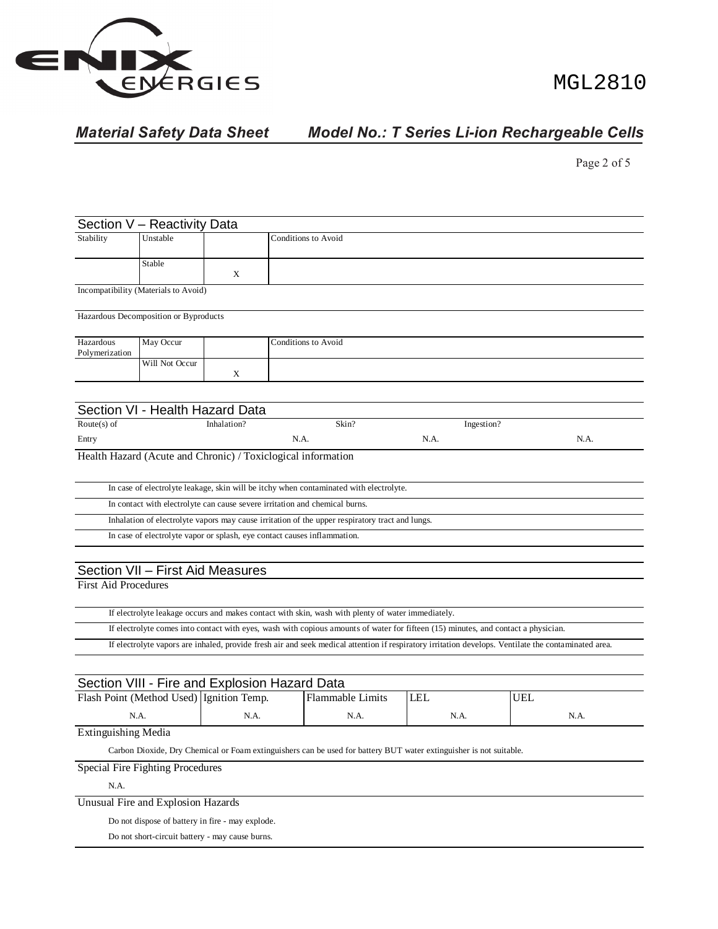

# MGL2810

# *Material Safety Data Sheet Model No.: T Series Li-ion Rechargeable Cells*

Page 2 of 5

|                             | Section V - Reactivity Data           |                                                                                           |                                                                                                     |                                                                                                   |  |                                                                                                                                    |                                                                                                                                                      |  |
|-----------------------------|---------------------------------------|-------------------------------------------------------------------------------------------|-----------------------------------------------------------------------------------------------------|---------------------------------------------------------------------------------------------------|--|------------------------------------------------------------------------------------------------------------------------------------|------------------------------------------------------------------------------------------------------------------------------------------------------|--|
| Stability                   | Unstable                              |                                                                                           | <b>Conditions to Avoid</b>                                                                          |                                                                                                   |  |                                                                                                                                    |                                                                                                                                                      |  |
|                             | Stable                                | X                                                                                         |                                                                                                     |                                                                                                   |  |                                                                                                                                    |                                                                                                                                                      |  |
|                             | Incompatibility (Materials to Avoid)  |                                                                                           |                                                                                                     |                                                                                                   |  |                                                                                                                                    |                                                                                                                                                      |  |
|                             | Hazardous Decomposition or Byproducts |                                                                                           |                                                                                                     |                                                                                                   |  |                                                                                                                                    |                                                                                                                                                      |  |
| Hazardous<br>Polymerization | May Occur                             |                                                                                           |                                                                                                     | Conditions to Avoid                                                                               |  |                                                                                                                                    |                                                                                                                                                      |  |
|                             | Will Not Occur                        | X                                                                                         |                                                                                                     |                                                                                                   |  |                                                                                                                                    |                                                                                                                                                      |  |
|                             |                                       |                                                                                           |                                                                                                     |                                                                                                   |  |                                                                                                                                    |                                                                                                                                                      |  |
|                             |                                       | Section VI - Health Hazard Data                                                           |                                                                                                     |                                                                                                   |  |                                                                                                                                    |                                                                                                                                                      |  |
| Route $(s)$ of              |                                       | Inhalation?                                                                               |                                                                                                     | Skin?                                                                                             |  | Ingestion?                                                                                                                         |                                                                                                                                                      |  |
| Entry                       |                                       |                                                                                           | N.A.                                                                                                |                                                                                                   |  | N.A.                                                                                                                               | N.A.                                                                                                                                                 |  |
|                             |                                       | Health Hazard (Acute and Chronic) / Toxiclogical information                              |                                                                                                     |                                                                                                   |  |                                                                                                                                    |                                                                                                                                                      |  |
|                             |                                       |                                                                                           |                                                                                                     | In case of electrolyte leakage, skin will be itchy when contaminated with electrolyte.            |  |                                                                                                                                    |                                                                                                                                                      |  |
|                             |                                       | In contact with electrolyte can cause severe irritation and chemical burns.               |                                                                                                     |                                                                                                   |  |                                                                                                                                    |                                                                                                                                                      |  |
|                             |                                       |                                                                                           |                                                                                                     | Inhalation of electrolyte vapors may cause irritation of the upper respiratory tract and lungs.   |  |                                                                                                                                    |                                                                                                                                                      |  |
|                             |                                       | In case of electrolyte vapor or splash, eye contact causes inflammation.                  |                                                                                                     |                                                                                                   |  |                                                                                                                                    |                                                                                                                                                      |  |
|                             |                                       |                                                                                           |                                                                                                     |                                                                                                   |  |                                                                                                                                    |                                                                                                                                                      |  |
|                             |                                       | Section VII - First Aid Measures                                                          |                                                                                                     |                                                                                                   |  |                                                                                                                                    |                                                                                                                                                      |  |
| <b>First Aid Procedures</b> |                                       |                                                                                           |                                                                                                     |                                                                                                   |  |                                                                                                                                    |                                                                                                                                                      |  |
|                             |                                       |                                                                                           |                                                                                                     | If electrolyte leakage occurs and makes contact with skin, wash with plenty of water immediately. |  |                                                                                                                                    |                                                                                                                                                      |  |
|                             |                                       |                                                                                           |                                                                                                     |                                                                                                   |  | If electrolyte comes into contact with eyes, wash with copious amounts of water for fifteen (15) minutes, and contact a physician. |                                                                                                                                                      |  |
|                             |                                       |                                                                                           |                                                                                                     |                                                                                                   |  |                                                                                                                                    | If electrolyte vapors are inhaled, provide fresh air and seek medical attention if respiratory irritation develops. Ventilate the contaminated area. |  |
|                             |                                       |                                                                                           |                                                                                                     |                                                                                                   |  |                                                                                                                                    |                                                                                                                                                      |  |
|                             |                                       | Section VIII - Fire and Explosion Hazard Data<br>Flash Point (Method Used) Ignition Temp. |                                                                                                     | <b>Flammable Limits</b>                                                                           |  | <b>LEL</b>                                                                                                                         | <b>UEL</b>                                                                                                                                           |  |
|                             | N.A.                                  | N.A.                                                                                      |                                                                                                     | N.A.                                                                                              |  | N.A.                                                                                                                               | N.A.                                                                                                                                                 |  |
| <b>Extinguishing Media</b>  |                                       |                                                                                           |                                                                                                     |                                                                                                   |  |                                                                                                                                    |                                                                                                                                                      |  |
|                             |                                       |                                                                                           |                                                                                                     |                                                                                                   |  | Carbon Dioxide, Dry Chemical or Foam extinguishers can be used for battery BUT water extinguisher is not suitable.                 |                                                                                                                                                      |  |
|                             | Special Fire Fighting Procedures      |                                                                                           |                                                                                                     |                                                                                                   |  |                                                                                                                                    |                                                                                                                                                      |  |
| N.A.                        |                                       |                                                                                           |                                                                                                     |                                                                                                   |  |                                                                                                                                    |                                                                                                                                                      |  |
|                             | Unusual Fire and Explosion Hazards    |                                                                                           |                                                                                                     |                                                                                                   |  |                                                                                                                                    |                                                                                                                                                      |  |
|                             |                                       |                                                                                           |                                                                                                     |                                                                                                   |  |                                                                                                                                    |                                                                                                                                                      |  |
|                             |                                       |                                                                                           | Do not dispose of battery in fire - may explode.<br>Do not short-circuit battery - may cause burns. |                                                                                                   |  |                                                                                                                                    |                                                                                                                                                      |  |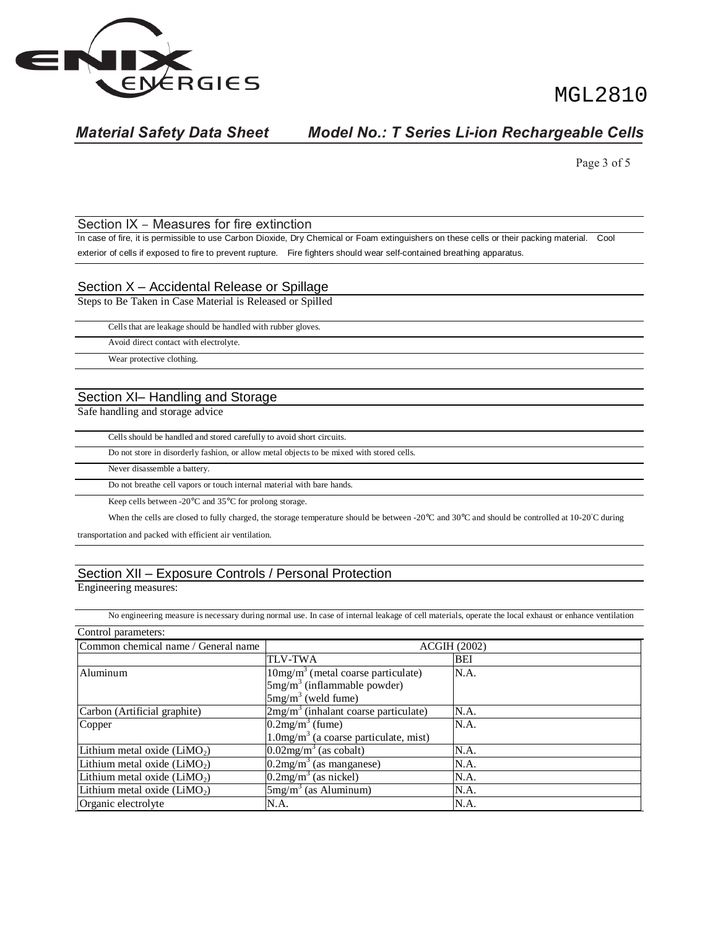

MGL2810

# *Material Safety Data Sheet Model No.: T Series Li-ion Rechargeable Cells*

Page 3 of 5

#### Section IX – Measures for fire extinction

In case of fire, it is permissible to use Carbon Dioxide, Dry Chemical or Foam extinguishers on these cells or their packing material. Cool exterior of cells if exposed to fire to prevent rupture. Fire fighters should wear self-contained breathing apparatus.

#### Section X – Accidental Release or Spillage

Steps to Be Taken in Case Material is Released or Spilled

|--|

Avoid direct contact with electrolyte.

Wear protective clothing.

### Section XI– Handling and Storage

Safe handling and storage advice

Cells should be handled and stored carefully to avoid short circuits.

Do not store in disorderly fashion, or allow metal objects to be mixed with stored cells.

Never disassemble a battery.

Do not breathe cell vapors or touch internal material with bare hands.

Keep cells between -20°C and 35°C for prolong storage.

When the cells are closed to fully charged, the storage temperature should be between -20°C and 30°C and should be controlled at 10-20°C during

transportation and packed with efficient air ventilation.

### Section XII – Exposure Controls / Personal Protection

Engineering measures:

No engineering measure is necessary during normal use. In case of internal leakage of cell materials, operate the local exhaust or enhance ventilation Control parameters:

| Common chemical name / General name      | <b>ACGIH (2002)</b>                                  |      |  |  |
|------------------------------------------|------------------------------------------------------|------|--|--|
|                                          | <b>TLV-TWA</b>                                       | BEI  |  |  |
| Aluminum                                 | $10mg/m3$ (metal coarse particulate)                 | N.A. |  |  |
|                                          | $5mg/m3$ (inflammable powder)                        |      |  |  |
|                                          | $5mg/m3$ (weld fume)                                 |      |  |  |
| Carbon (Artificial graphite)             | $2mg/m3$ (inhalant coarse particulate)               | N.A. |  |  |
| Copper                                   | $0.2mg/m3$ (fume)                                    | N.A. |  |  |
|                                          | $1.0$ mg/m <sup>3</sup> (a coarse particulate, mist) |      |  |  |
| Lithium metal oxide (LiMO <sub>2</sub> ) | $0.02$ mg/m <sup>3</sup> (as cobalt)                 | N.A. |  |  |
| Lithium metal oxide $(LiMO2)$            | $\sqrt{0.2 \text{mg/m}^3}$ (as manganese)            | N.A. |  |  |
| Lithium metal oxide $(LiMO2)$            | $0.2$ mg/m <sup>3</sup> (as nickel)                  | N.A. |  |  |
| Lithium metal oxide $(LiMO2)$            | $5mg/m3$ (as Aluminum)                               | N.A. |  |  |
| Organic electrolyte                      | N.A.                                                 | N.A. |  |  |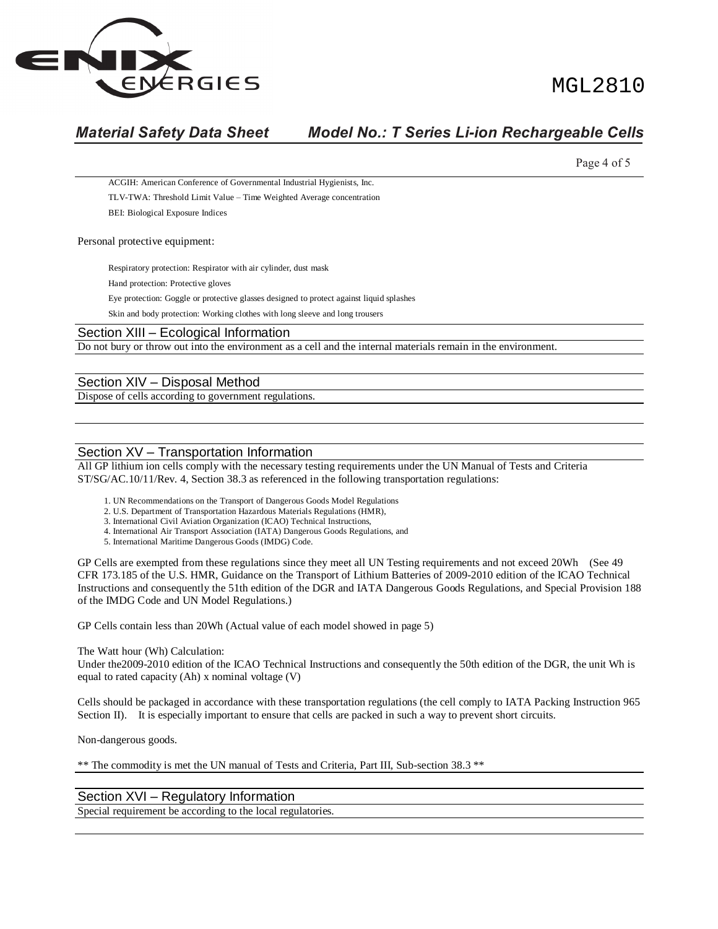

# MGT. 2810

## *Material Safety Data Sheet Model No.: T Series Li-ion Rechargeable Cells*

Page 4 of 5 ACGIH: American Conference of Governmental Industrial Hygienists, Inc. TLV-TWA: Threshold Limit Value – Time Weighted Average concentration BEI: Biological Exposure Indices Personal protective equipment: Respiratory protection: Respirator with air cylinder, dust mask Hand protection: Protective gloves Eye protection: Goggle or protective glasses designed to protect against liquid splashes Skin and body protection: Working clothes with long sleeve and long trousers Section XIII – Ecological Information Do not bury or throw out into the environment as a cell and the internal materials remain in the environment. Section XIV – Disposal Method

Dispose of cells according to government regulations.

### Section XV – Transportation Information

All GP lithium ion cells comply with the necessary testing requirements under the UN Manual of Tests and Criteria ST/SG/AC.10/11/Rev. 4, Section 38.3 as referenced in the following transportation regulations:

- 1. UN Recommendations on the Transport of Dangerous Goods Model Regulations
- 2. U.S. Department of Transportation Hazardous Materials Regulations (HMR),
- 3. International Civil Aviation Organization (ICAO) Technical Instructions,
- 4. International Air Transport Association (IATA) Dangerous Goods Regulations, and
- 5. International Maritime Dangerous Goods (IMDG) Code.

GP Cells are exempted from these regulations since they meet all UN Testing requirements and not exceed 20Wh (See 49 CFR 173.185 of the U.S. HMR, Guidance on the Transport of Lithium Batteries of 2009-2010 edition of the ICAO Technical Instructions and consequently the 51th edition of the DGR and IATA Dangerous Goods Regulations, and Special Provision 188 of the IMDG Code and UN Model Regulations.)

GP Cells contain less than 20Wh (Actual value of each model showed in page 5)

#### The Watt hour (Wh) Calculation:

Under the2009-2010 edition of the ICAO Technical Instructions and consequently the 50th edition of the DGR, the unit Wh is equal to rated capacity (Ah) x nominal voltage (V)

Cells should be packaged in accordance with these transportation regulations (the cell comply to IATA Packing Instruction 965 Section II). It is especially important to ensure that cells are packed in such a way to prevent short circuits.

Non-dangerous goods.

\*\* The commodity is met the UN manual of Tests and Criteria, Part III, Sub-section 38.3 \*\*

#### Section XVI – Regulatory Information

Special requirement be according to the local regulatories.